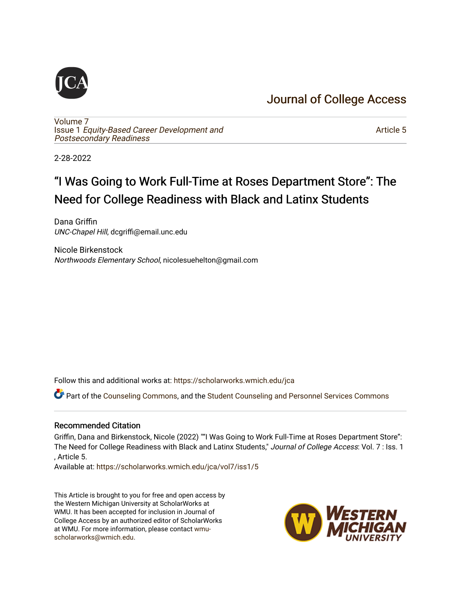# [Journal of College Access](https://scholarworks.wmich.edu/jca)

[Volume 7](https://scholarworks.wmich.edu/jca/vol7) Issue 1 [Equity-Based Career Development and](https://scholarworks.wmich.edu/jca/vol7/iss1) [Postsecondary Readiness](https://scholarworks.wmich.edu/jca/vol7/iss1) 

[Article 5](https://scholarworks.wmich.edu/jca/vol7/iss1/5) 

2-28-2022

# "I Was Going to Work Full-Time at Roses Department Store": The Need for College Readiness with Black and Latinx Students

Dana Griffin UNC-Chapel Hill, dcgriffi@email.unc.edu

Nicole Birkenstock Northwoods Elementary School, nicolesuehelton@gmail.com

Follow this and additional works at: [https://scholarworks.wmich.edu/jca](https://scholarworks.wmich.edu/jca?utm_source=scholarworks.wmich.edu%2Fjca%2Fvol7%2Fiss1%2F5&utm_medium=PDF&utm_campaign=PDFCoverPages)

Part of the [Counseling Commons,](http://network.bepress.com/hgg/discipline/1268?utm_source=scholarworks.wmich.edu%2Fjca%2Fvol7%2Fiss1%2F5&utm_medium=PDF&utm_campaign=PDFCoverPages) and the [Student Counseling and Personnel Services Commons](http://network.bepress.com/hgg/discipline/802?utm_source=scholarworks.wmich.edu%2Fjca%2Fvol7%2Fiss1%2F5&utm_medium=PDF&utm_campaign=PDFCoverPages) 

#### Recommended Citation

Griffin, Dana and Birkenstock, Nicole (2022) ""I Was Going to Work Full-Time at Roses Department Store": The Need for College Readiness with Black and Latinx Students," Journal of College Access: Vol. 7 : Iss. 1 , Article 5.

Available at: [https://scholarworks.wmich.edu/jca/vol7/iss1/5](https://scholarworks.wmich.edu/jca/vol7/iss1/5?utm_source=scholarworks.wmich.edu%2Fjca%2Fvol7%2Fiss1%2F5&utm_medium=PDF&utm_campaign=PDFCoverPages) 

This Article is brought to you for free and open access by the Western Michigan University at ScholarWorks at WMU. It has been accepted for inclusion in Journal of College Access by an authorized editor of ScholarWorks at WMU. For more information, please contact [wmu](mailto:wmu-scholarworks@wmich.edu)[scholarworks@wmich.edu.](mailto:wmu-scholarworks@wmich.edu)

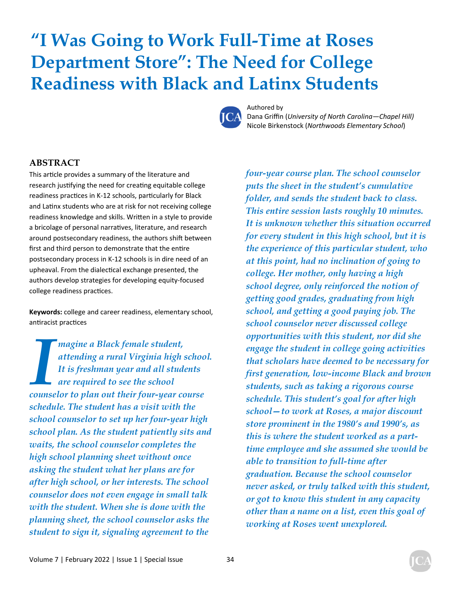# **"I Was Going to Work Full-Time at Roses Department Store": The Need for College Readiness with Black and Latinx Students**



Authored by

Dana Griffin (*University of North Carolina—Chapel Hill)*  Nicole Birkenstock (*Northwoods Elementary School*)

#### **ABSTRACT**

This article provides a summary of the literature and research justifying the need for creating equitable college readiness practices in K-12 schools, particularly for Black and Latinx students who are at risk for not receiving college readiness knowledge and skills. Written in a style to provide a bricolage of personal narratives, literature, and research around postsecondary readiness, the authors shift between first and third person to demonstrate that the entire postsecondary process in K-12 schools is in dire need of an upheaval. From the dialectical exchange presented, the authors develop strategies for developing equity-focused college readiness practices.

**Keywords:** college and career readiness, elementary school, antiracist practices

**I magine a Black female student,**<br>**It is freshman year and all student is that it is freshman year and all student counselor to plan out their four-year component** *attending a rural Virginia high school. It is freshman year and all students are required to see the school counselor to plan out their four-year course schedule. The student has a visit with the school counselor to set up her four-year high school plan. As the student patiently sits and waits, the school counselor completes the high school planning sheet without once asking the student what her plans are for after high school, or her interests. The school counselor does not even engage in small talk with the student. When she is done with the planning sheet, the school counselor asks the student to sign it, signaling agreement to the* 

*four-year course plan. The school counselor puts the sheet in the student's cumulative folder, and sends the student back to class. This entire session lasts roughly 10 minutes. It is unknown whether this situation occurred for every student in this high school, but it is the experience of this particular student, who at this point, had no inclination of going to college. Her mother, only having a high school degree, only reinforced the notion of getting good grades, graduating from high school, and getting a good paying job. The school counselor never discussed college opportunities with this student, nor did she engage the student in college going activities that scholars have deemed to be necessary for first generation, low-income Black and brown students, such as taking a rigorous course schedule. This student's goal for after high school—to work at Roses, a major discount store prominent in the 1980's and 1990's, as this is where the student worked as a parttime employee and she assumed she would be able to transition to full-time after graduation. Because the school counselor never asked, or truly talked with this student, or got to know this student in any capacity other than a name on a list, even this goal of working at Roses went unexplored.*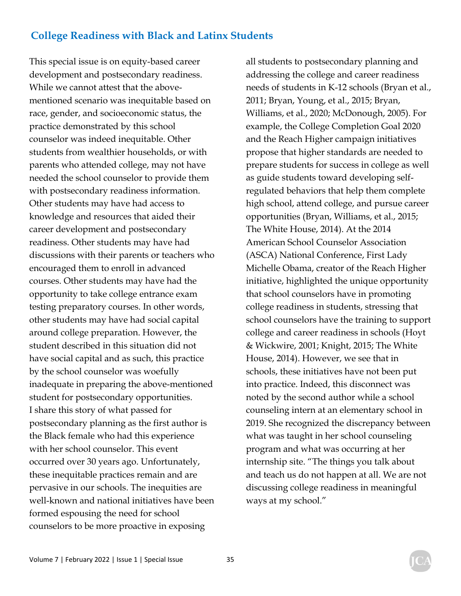This special issue is on equity-based career development and postsecondary readiness. While we cannot attest that the abovementioned scenario was inequitable based on race, gender, and socioeconomic status, the practice demonstrated by this school counselor was indeed inequitable. Other students from wealthier households, or with parents who attended college, may not have needed the school counselor to provide them with postsecondary readiness information. Other students may have had access to knowledge and resources that aided their career development and postsecondary readiness. Other students may have had discussions with their parents or teachers who encouraged them to enroll in advanced courses. Other students may have had the opportunity to take college entrance exam testing preparatory courses. In other words, other students may have had social capital around college preparation. However, the student described in this situation did not have social capital and as such, this practice by the school counselor was woefully inadequate in preparing the above-mentioned student for postsecondary opportunities. I share this story of what passed for postsecondary planning as the first author is the Black female who had this experience with her school counselor. This event occurred over 30 years ago. Unfortunately, these inequitable practices remain and are pervasive in our schools. The inequities are well-known and national initiatives have been formed espousing the need for school counselors to be more proactive in exposing

all students to postsecondary planning and addressing the college and career readiness needs of students in K-12 schools (Bryan et al., 2011; Bryan, Young, et al., 2015; Bryan, Williams, et al., 2020; McDonough, 2005). For example, the College Completion Goal 2020 and the Reach Higher campaign initiatives propose that higher standards are needed to prepare students for success in college as well as guide students toward developing selfregulated behaviors that help them complete high school, attend college, and pursue career opportunities (Bryan, Williams, et al., 2015; The White House, 2014). At the 2014 American School Counselor Association (ASCA) National Conference, First Lady Michelle Obama, creator of the Reach Higher initiative, highlighted the unique opportunity that school counselors have in promoting college readiness in students, stressing that school counselors have the training to support college and career readiness in schools (Hoyt & Wickwire, 2001; Knight, 2015; The White House, 2014). However, we see that in schools, these initiatives have not been put into practice. Indeed, this disconnect was noted by the second author while a school counseling intern at an elementary school in 2019. She recognized the discrepancy between what was taught in her school counseling program and what was occurring at her internship site. "The things you talk about and teach us do not happen at all. We are not discussing college readiness in meaningful ways at my school."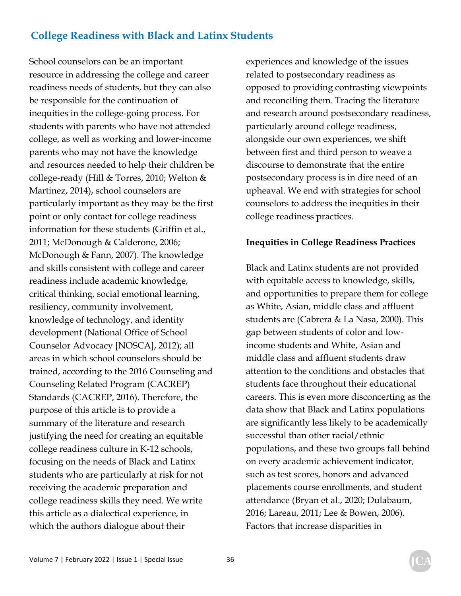School counselors can be an important resource in addressing the college and career readiness needs of students, but they can also be responsible for the continuation of inequities in the college-going process. For students with parents who have not attended college, as well as working and lower-income parents who may not have the knowledge and resources needed to help their children be college-ready (Hill & Torres, 2010; Welton & Martinez, 2014), school counselors are particularly important as they may be the first point or only contact for college readiness information for these students (Griffin et al., 2011; McDonough & Calderone, 2006; McDonough & Fann, 2007). The knowledge and skills consistent with college and career readiness include academic knowledge, critical thinking, social emotional learning, resiliency, community involvement, knowledge of technology, and identity development (National Office of School Counselor Advocacy [NOSCA], 2012); all areas in which school counselors should be trained, according to the 2016 Counseling and Counseling Related Program (CACREP) Standards (CACREP, 2016). Therefore, the purpose of this article is to provide a summary of the literature and research justifying the need for creating an equitable college readiness culture in K-12 schools, focusing on the needs of Black and Latinx students who are particularly at risk for not receiving the academic preparation and college readiness skills they need. We write this article as a dialectical experience, in which the authors dialogue about their

experiences and knowledge of the issues related to postsecondary readiness as opposed to providing contrasting viewpoints and reconciling them. Tracing the literature and research around postsecondary readiness, particularly around college readiness, alongside our own experiences, we shift between first and third person to weave a discourse to demonstrate that the entire postsecondary process is in dire need of an upheaval. We end with strategies for school counselors to address the inequities in their college readiness practices.

#### **Inequities in College Readiness Practices**

Black and Latinx students are not provided with equitable access to knowledge, skills, and opportunities to prepare them for college as White, Asian, middle class and affluent students are (Cabrera & La Nasa, 2000). This gap between students of color and lowincome students and White, Asian and middle class and affluent students draw attention to the conditions and obstacles that students face throughout their educational careers. This is even more disconcerting as the data show that Black and Latinx populations are significantly less likely to be academically successful than other racial/ethnic populations, and these two groups fall behind on every academic achievement indicator, such as test scores, honors and advanced placements course enrollments, and student attendance (Bryan et al., 2020; Dulabaum, 2016; Lareau, 2011; Lee & Bowen, 2006). Factors that increase disparities in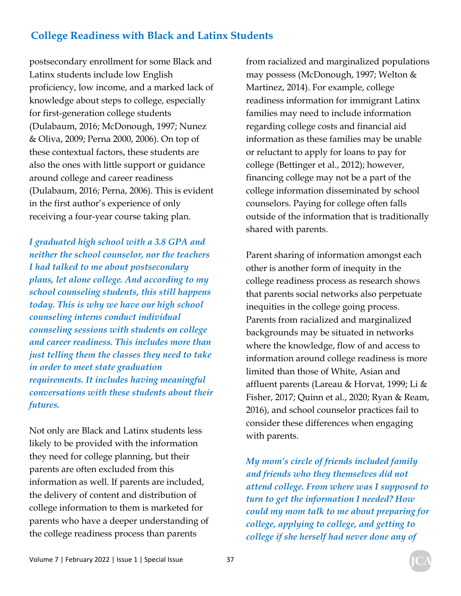postsecondary enrollment for some Black and Latinx students include low English proficiency, low income, and a marked lack of knowledge about steps to college, especially for first-generation college students (Dulabaum, 2016; McDonough, 1997; Nunez & Oliva, 2009; Perna 2000, 2006). On top of these contextual factors, these students are also the ones with little support or guidance around college and career readiness (Dulabaum, 2016; Perna, 2006). This is evident in the first author's experience of only receiving a four-year course taking plan.

*I graduated high school with a 3.8 GPA and neither the school counselor, nor the teachers I had talked to me about postsecondary plans, let alone college. And according to my school counseling students, this still happens today. This is why we have our high school counseling interns conduct individual counseling sessions with students on college and career readiness. This includes more than just telling them the classes they need to take in order to meet state graduation requirements. It includes having meaningful conversations with these students about their futures.* 

Not only are Black and Latinx students less likely to be provided with the information they need for college planning, but their parents are often excluded from this information as well. If parents are included, the delivery of content and distribution of college information to them is marketed for parents who have a deeper understanding of the college readiness process than parents

from racialized and marginalized populations may possess (McDonough, 1997; Welton & Martinez, 2014). For example, college readiness information for immigrant Latinx families may need to include information regarding college costs and financial aid information as these families may be unable or reluctant to apply for loans to pay for college (Bettinger et al., 2012); however, financing college may not be a part of the college information disseminated by school counselors. Paying for college often falls outside of the information that is traditionally shared with parents.

Parent sharing of information amongst each other is another form of inequity in the college readiness process as research shows that parents social networks also perpetuate inequities in the college going process. Parents from racialized and marginalized backgrounds may be situated in networks where the knowledge, flow of and access to information around college readiness is more limited than those of White, Asian and affluent parents (Lareau & Horvat, 1999; Li & Fisher, 2017; Quinn et al., 2020; Ryan & Ream, 2016), and school counselor practices fail to consider these differences when engaging with parents.

*My mom's circle of friends included family and friends who they themselves did not attend college. From where was I supposed to turn to get the information I needed? How could my mom talk to me about preparing for college, applying to college, and getting to college if she herself had never done any of*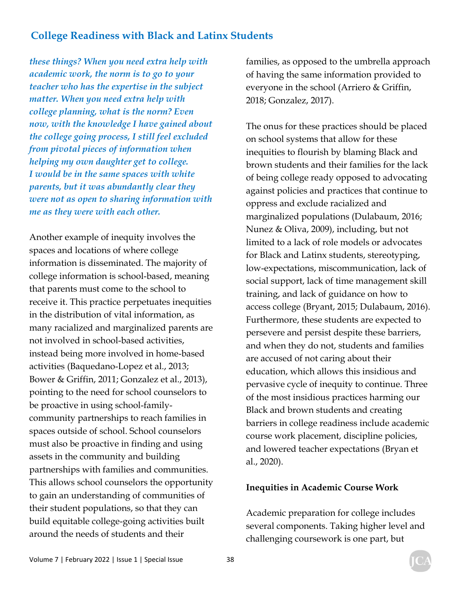*these things? When you need extra help with academic work, the norm is to go to your teacher who has the expertise in the subject matter. When you need extra help with college planning, what is the norm? Even now, with the knowledge I have gained about the college going process, I still feel excluded from pivotal pieces of information when helping my own daughter get to college. I would be in the same spaces with white parents, but it was abundantly clear they were not as open to sharing information with me as they were with each other.* 

Another example of inequity involves the spaces and locations of where college information is disseminated. The majority of college information is school-based, meaning that parents must come to the school to receive it. This practice perpetuates inequities in the distribution of vital information, as many racialized and marginalized parents are not involved in school-based activities, instead being more involved in home-based activities (Baquedano-Lopez et al., 2013; Bower & Griffin, 2011; Gonzalez et al., 2013), pointing to the need for school counselors to be proactive in using school-familycommunity partnerships to reach families in spaces outside of school. School counselors must also be proactive in finding and using assets in the community and building partnerships with families and communities. This allows school counselors the opportunity to gain an understanding of communities of their student populations, so that they can build equitable college-going activities built around the needs of students and their

families, as opposed to the umbrella approach of having the same information provided to everyone in the school (Arriero & Griffin, 2018; Gonzalez, 2017).

The onus for these practices should be placed on school systems that allow for these inequities to flourish by blaming Black and brown students and their families for the lack of being college ready opposed to advocating against policies and practices that continue to oppress and exclude racialized and marginalized populations (Dulabaum, 2016; Nunez & Oliva, 2009), including, but not limited to a lack of role models or advocates for Black and Latinx students, stereotyping, low-expectations, miscommunication, lack of social support, lack of time management skill training, and lack of guidance on how to access college (Bryant, 2015; Dulabaum, 2016). Furthermore, these students are expected to persevere and persist despite these barriers, and when they do not, students and families are accused of not caring about their education, which allows this insidious and pervasive cycle of inequity to continue. Three of the most insidious practices harming our Black and brown students and creating barriers in college readiness include academic course work placement, discipline policies, and lowered teacher expectations (Bryan et al., 2020).

#### **Inequities in Academic Course Work**

Academic preparation for college includes several components. Taking higher level and challenging coursework is one part, but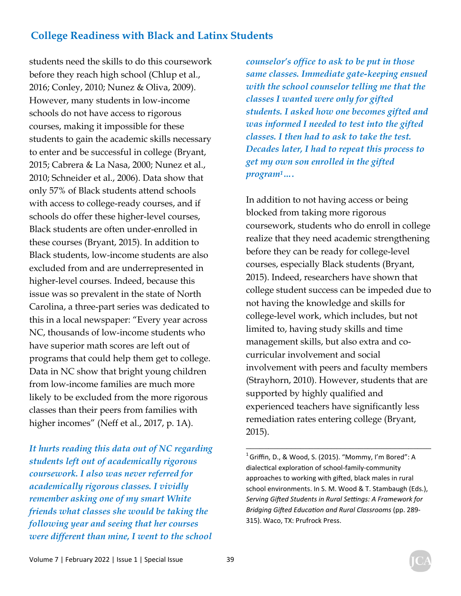students need the skills to do this coursework before they reach high school (Chlup et al., 2016; Conley, 2010; Nunez & Oliva, 2009). However, many students in low-income schools do not have access to rigorous courses, making it impossible for these students to gain the academic skills necessary to enter and be successful in college (Bryant, 2015; Cabrera & La Nasa, 2000; Nunez et al., 2010; Schneider et al., 2006). Data show that only 57% of Black students attend schools with access to college-ready courses, and if schools do offer these higher-level courses, Black students are often under-enrolled in these courses (Bryant, 2015). In addition to Black students, low-income students are also excluded from and are underrepresented in higher-level courses. Indeed, because this issue was so prevalent in the state of North Carolina, a three-part series was dedicated to this in a local newspaper: "Every year across NC, thousands of low-income students who have superior math scores are left out of programs that could help them get to college. Data in NC show that bright young children from low-income families are much more likely to be excluded from the more rigorous classes than their peers from families with higher incomes" (Neff et al., 2017, p. 1A).

*It hurts reading this data out of NC regarding students left out of academically rigorous coursework. I also was never referred for academically rigorous classes. I vividly remember asking one of my smart White friends what classes she would be taking the following year and seeing that her courses were different than mine, I went to the school*  *counselor's office to ask to be put in those same classes. Immediate gate-keeping ensued with the school counselor telling me that the classes I wanted were only for gifted students. I asked how one becomes gifted and was informed I needed to test into the gifted classes. I then had to ask to take the test. Decades later, I had to repeat this process to get my own son enrolled in the gifted program1….* 

In addition to not having access or being blocked from taking more rigorous coursework, students who do enroll in college realize that they need academic strengthening before they can be ready for college-level courses, especially Black students (Bryant, 2015). Indeed, researchers have shown that college student success can be impeded due to not having the knowledge and skills for college-level work, which includes, but not limited to, having study skills and time management skills, but also extra and cocurricular involvement and social involvement with peers and faculty members (Strayhorn, 2010). However, students that are supported by highly qualified and experienced teachers have significantly less remediation rates entering college (Bryant, 2015).

 $\frac{1}{2}$  , and the set of the set of the set of the set of the set of the set of the set of the set of the set of the set of the set of the set of the set of the set of the set of the set of the set of the set of the set

 $1$  Griffin, D., & Wood, S. (2015). "Mommy, I'm Bored": A dialectical exploration of school-family-community approaches to working with gifted, black males in rural school environments. In S. M. Wood & T. Stambaugh (Eds.), *Serving Gifted Students in Rural Settings: A Framework for Bridging Gifted Education and Rural Classrooms* (pp. 289-315). Waco, TX: Prufrock Press.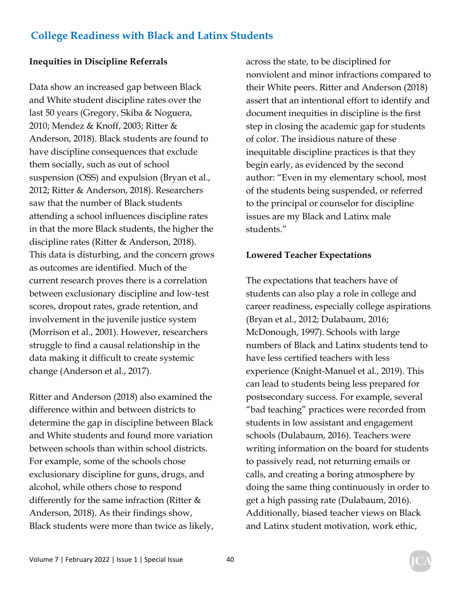#### **Inequities in Discipline Referrals**

Data show an increased gap between Black and White student discipline rates over the last 50 years (Gregory, Skiba & Noguera, 2010; Mendez & Knoff, 2003; Ritter & Anderson, 2018). Black students are found to have discipline consequences that exclude them socially, such as out of school suspension (OSS) and expulsion (Bryan et al., 2012; Ritter & Anderson, 2018). Researchers saw that the number of Black students attending a school influences discipline rates in that the more Black students, the higher the discipline rates (Ritter & Anderson, 2018). This data is disturbing, and the concern grows as outcomes are identified. Much of the current research proves there is a correlation between exclusionary discipline and low-test scores, dropout rates, grade retention, and involvement in the juvenile justice system (Morrison et al., 2001). However, researchers struggle to find a causal relationship in the data making it difficult to create systemic change (Anderson et al., 2017).

Ritter and Anderson (2018) also examined the difference within and between districts to determine the gap in discipline between Black and White students and found more variation between schools than within school districts. For example, some of the schools chose exclusionary discipline for guns, drugs, and alcohol, while others chose to respond differently for the same infraction (Ritter & Anderson, 2018). As their findings show, Black students were more than twice as likely, across the state, to be disciplined for nonviolent and minor infractions compared to their White peers. Ritter and Anderson (2018) assert that an intentional effort to identify and document inequities in discipline is the first step in closing the academic gap for students of color. The insidious nature of these inequitable discipline practices is that they begin early, as evidenced by the second author: "Even in my elementary school, most of the students being suspended, or referred to the principal or counselor for discipline issues are my Black and Latinx male students."

#### **Lowered Teacher Expectations**

The expectations that teachers have of students can also play a role in college and career readiness, especially college aspirations (Bryan et al., 2012; Dulabaum, 2016; McDonough, 1997). Schools with large numbers of Black and Latinx students tend to have less certified teachers with less experience (Knight-Manuel et al., 2019). This can lead to students being less prepared for postsecondary success. For example, several "bad teaching" practices were recorded from students in low assistant and engagement schools (Dulabaum, 2016). Teachers were writing information on the board for students to passively read, not returning emails or calls, and creating a boring atmosphere by doing the same thing continuously in order to get a high passing rate (Dulabaum, 2016). Additionally, biased teacher views on Black and Latinx student motivation, work ethic,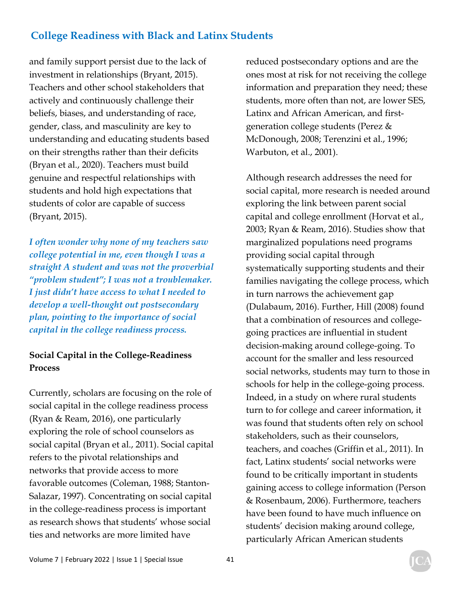and family support persist due to the lack of investment in relationships (Bryant, 2015). Teachers and other school stakeholders that actively and continuously challenge their beliefs, biases, and understanding of race, gender, class, and masculinity are key to understanding and educating students based on their strengths rather than their deficits (Bryan et al., 2020). Teachers must build genuine and respectful relationships with students and hold high expectations that students of color are capable of success (Bryant, 2015).

*I often wonder why none of my teachers saw college potential in me, even though I was a straight A student and was not the proverbial "problem student"; I was not a troublemaker. I just didn't have access to what I needed to develop a well-thought out postsecondary plan, pointing to the importance of social capital in the college readiness process.* 

#### **Social Capital in the College-Readiness Process**

Currently, scholars are focusing on the role of social capital in the college readiness process (Ryan & Ream, 2016), one particularly exploring the role of school counselors as social capital (Bryan et al., 2011). Social capital refers to the pivotal relationships and networks that provide access to more favorable outcomes (Coleman, 1988; Stanton-Salazar, 1997). Concentrating on social capital in the college-readiness process is important as research shows that students' whose social ties and networks are more limited have

reduced postsecondary options and are the ones most at risk for not receiving the college information and preparation they need; these students, more often than not, are lower SES, Latinx and African American, and firstgeneration college students (Perez & McDonough, 2008; Terenzini et al., 1996; Warbuton, et al., 2001).

Although research addresses the need for social capital, more research is needed around exploring the link between parent social capital and college enrollment (Horvat et al., 2003; Ryan & Ream, 2016). Studies show that marginalized populations need programs providing social capital through systematically supporting students and their families navigating the college process, which in turn narrows the achievement gap (Dulabaum, 2016). Further, Hill (2008) found that a combination of resources and collegegoing practices are influential in student decision-making around college-going. To account for the smaller and less resourced social networks, students may turn to those in schools for help in the college-going process. Indeed, in a study on where rural students turn to for college and career information, it was found that students often rely on school stakeholders, such as their counselors, teachers, and coaches (Griffin et al., 2011). In fact, Latinx students' social networks were found to be critically important in students gaining access to college information (Person & Rosenbaum, 2006). Furthermore, teachers have been found to have much influence on students' decision making around college, particularly African American students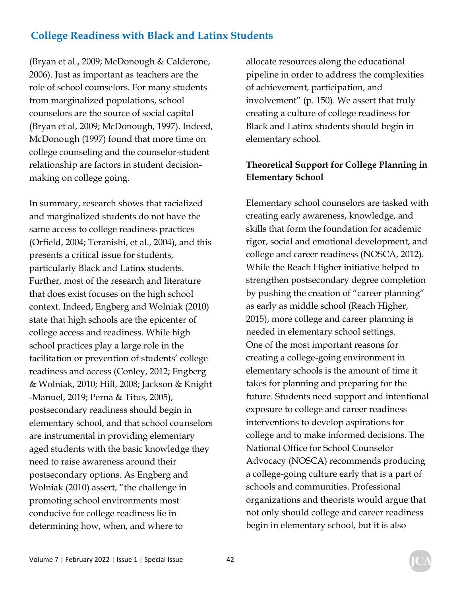(Bryan et al., 2009; McDonough & Calderone, 2006). Just as important as teachers are the role of school counselors. For many students from marginalized populations, school counselors are the source of social capital (Bryan et al, 2009; McDonough, 1997). Indeed, McDonough (1997) found that more time on college counseling and the counselor-student relationship are factors in student decisionmaking on college going.

In summary, research shows that racialized and marginalized students do not have the same access to college readiness practices (Orfield, 2004; Teranishi, et al., 2004), and this presents a critical issue for students, particularly Black and Latinx students. Further, most of the research and literature that does exist focuses on the high school context. Indeed, Engberg and Wolniak (2010) state that high schools are the epicenter of college access and readiness. While high school practices play a large role in the facilitation or prevention of students' college readiness and access (Conley, 2012; Engberg & Wolniak, 2010; Hill, 2008; Jackson & Knight -Manuel, 2019; Perna & Titus, 2005), postsecondary readiness should begin in elementary school, and that school counselors are instrumental in providing elementary aged students with the basic knowledge they need to raise awareness around their postsecondary options. As Engberg and Wolniak (2010) assert, "the challenge in promoting school environments most conducive for college readiness lie in determining how, when, and where to

allocate resources along the educational pipeline in order to address the complexities of achievement, participation, and involvement" (p. 150). We assert that truly creating a culture of college readiness for Black and Latinx students should begin in elementary school.

#### **Theoretical Support for College Planning in Elementary School**

Elementary school counselors are tasked with creating early awareness, knowledge, and skills that form the foundation for academic rigor, social and emotional development, and college and career readiness (NOSCA, 2012). While the Reach Higher initiative helped to strengthen postsecondary degree completion by pushing the creation of "career planning" as early as middle school (Reach Higher, 2015), more college and career planning is needed in elementary school settings. One of the most important reasons for creating a college-going environment in elementary schools is the amount of time it takes for planning and preparing for the future. Students need support and intentional exposure to college and career readiness interventions to develop aspirations for college and to make informed decisions. The National Office for School Counselor Advocacy (NOSCA) recommends producing a college-going culture early that is a part of schools and communities. Professional organizations and theorists would argue that not only should college and career readiness begin in elementary school, but it is also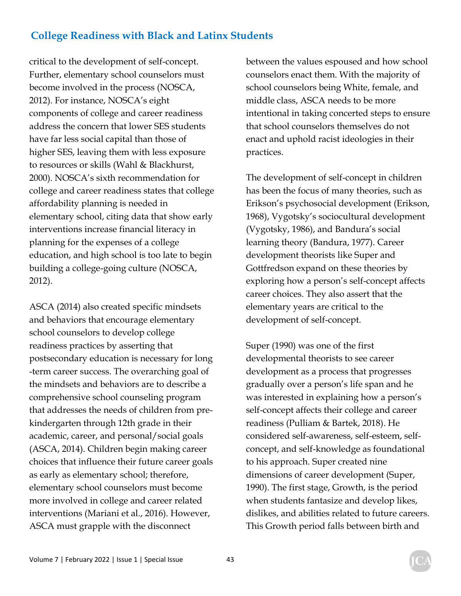critical to the development of self-concept. Further, elementary school counselors must become involved in the process (NOSCA, 2012). For instance, NOSCA's eight components of college and career readiness address the concern that lower SES students have far less social capital than those of higher SES, leaving them with less exposure to resources or skills (Wahl & Blackhurst, 2000). NOSCA's sixth recommendation for college and career readiness states that college affordability planning is needed in elementary school, citing data that show early interventions increase financial literacy in planning for the expenses of a college education, and high school is too late to begin building a college-going culture (NOSCA, 2012).

ASCA (2014) also created specific mindsets and behaviors that encourage elementary school counselors to develop college readiness practices by asserting that postsecondary education is necessary for long -term career success. The overarching goal of the mindsets and behaviors are to describe a comprehensive school counseling program that addresses the needs of children from prekindergarten through 12th grade in their academic, career, and personal/social goals (ASCA, 2014). Children begin making career choices that influence their future career goals as early as elementary school; therefore, elementary school counselors must become more involved in college and career related interventions (Mariani et al., 2016). However, ASCA must grapple with the disconnect

between the values espoused and how school counselors enact them. With the majority of school counselors being White, female, and middle class, ASCA needs to be more intentional in taking concerted steps to ensure that school counselors themselves do not enact and uphold racist ideologies in their practices.

The development of self-concept in children has been the focus of many theories, such as Erikson's psychosocial development (Erikson, 1968), Vygotsky's sociocultural development (Vygotsky, 1986), and Bandura's social learning theory (Bandura, 1977). Career development theorists like Super and Gottfredson expand on these theories by exploring how a person's self-concept affects career choices. They also assert that the elementary years are critical to the development of self-concept.

Super (1990) was one of the first developmental theorists to see career development as a process that progresses gradually over a person's life span and he was interested in explaining how a person's self-concept affects their college and career readiness (Pulliam & Bartek, 2018). He considered self-awareness, self-esteem, selfconcept, and self-knowledge as foundational to his approach. Super created nine dimensions of career development (Super, 1990). The first stage, Growth, is the period when students fantasize and develop likes, dislikes, and abilities related to future careers. This Growth period falls between birth and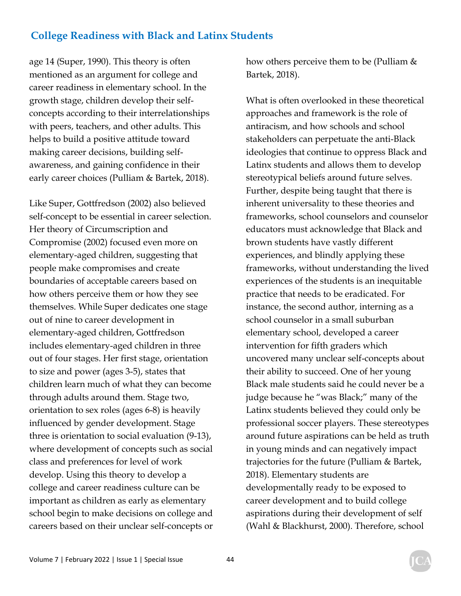age 14 (Super, 1990). This theory is often mentioned as an argument for college and career readiness in elementary school. In the growth stage, children develop their selfconcepts according to their interrelationships with peers, teachers, and other adults. This helps to build a positive attitude toward making career decisions, building selfawareness, and gaining confidence in their early career choices (Pulliam & Bartek, 2018).

Like Super, Gottfredson (2002) also believed self-concept to be essential in career selection. Her theory of Circumscription and Compromise (2002) focused even more on elementary-aged children, suggesting that people make compromises and create boundaries of acceptable careers based on how others perceive them or how they see themselves. While Super dedicates one stage out of nine to career development in elementary-aged children, Gottfredson includes elementary-aged children in three out of four stages. Her first stage, orientation to size and power (ages 3-5), states that children learn much of what they can become through adults around them. Stage two, orientation to sex roles (ages 6-8) is heavily influenced by gender development. Stage three is orientation to social evaluation (9-13), where development of concepts such as social class and preferences for level of work develop. Using this theory to develop a college and career readiness culture can be important as children as early as elementary school begin to make decisions on college and careers based on their unclear self-concepts or

how others perceive them to be (Pulliam & Bartek, 2018).

What is often overlooked in these theoretical approaches and framework is the role of antiracism, and how schools and school stakeholders can perpetuate the anti-Black ideologies that continue to oppress Black and Latinx students and allows them to develop stereotypical beliefs around future selves. Further, despite being taught that there is inherent universality to these theories and frameworks, school counselors and counselor educators must acknowledge that Black and brown students have vastly different experiences, and blindly applying these frameworks, without understanding the lived experiences of the students is an inequitable practice that needs to be eradicated. For instance, the second author, interning as a school counselor in a small suburban elementary school, developed a career intervention for fifth graders which uncovered many unclear self-concepts about their ability to succeed. One of her young Black male students said he could never be a judge because he "was Black;" many of the Latinx students believed they could only be professional soccer players. These stereotypes around future aspirations can be held as truth in young minds and can negatively impact trajectories for the future (Pulliam & Bartek, 2018). Elementary students are developmentally ready to be exposed to career development and to build college aspirations during their development of self (Wahl & Blackhurst, 2000). Therefore, school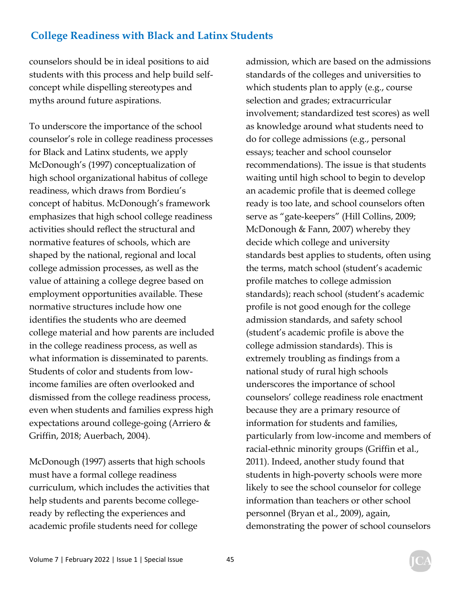counselors should be in ideal positions to aid students with this process and help build selfconcept while dispelling stereotypes and myths around future aspirations.

To underscore the importance of the school counselor's role in college readiness processes for Black and Latinx students, we apply McDonough's (1997) conceptualization of high school organizational habitus of college readiness, which draws from Bordieu's concept of habitus. McDonough's framework emphasizes that high school college readiness activities should reflect the structural and normative features of schools, which are shaped by the national, regional and local college admission processes, as well as the value of attaining a college degree based on employment opportunities available. These normative structures include how one identifies the students who are deemed college material and how parents are included in the college readiness process, as well as what information is disseminated to parents. Students of color and students from lowincome families are often overlooked and dismissed from the college readiness process, even when students and families express high expectations around college-going (Arriero & Griffin, 2018; Auerbach, 2004).

McDonough (1997) asserts that high schools must have a formal college readiness curriculum, which includes the activities that help students and parents become collegeready by reflecting the experiences and academic profile students need for college

admission, which are based on the admissions standards of the colleges and universities to which students plan to apply (e.g., course selection and grades; extracurricular involvement; standardized test scores) as well as knowledge around what students need to do for college admissions (e.g., personal essays; teacher and school counselor recommendations). The issue is that students waiting until high school to begin to develop an academic profile that is deemed college ready is too late, and school counselors often serve as "gate-keepers" (Hill Collins, 2009; McDonough & Fann, 2007) whereby they decide which college and university standards best applies to students, often using the terms, match school (student's academic profile matches to college admission standards); reach school (student's academic profile is not good enough for the college admission standards, and safety school (student's academic profile is above the college admission standards). This is extremely troubling as findings from a national study of rural high schools underscores the importance of school counselors' college readiness role enactment because they are a primary resource of information for students and families, particularly from low-income and members of racial-ethnic minority groups (Griffin et al., 2011). Indeed, another study found that students in high-poverty schools were more likely to see the school counselor for college information than teachers or other school personnel (Bryan et al., 2009), again, demonstrating the power of school counselors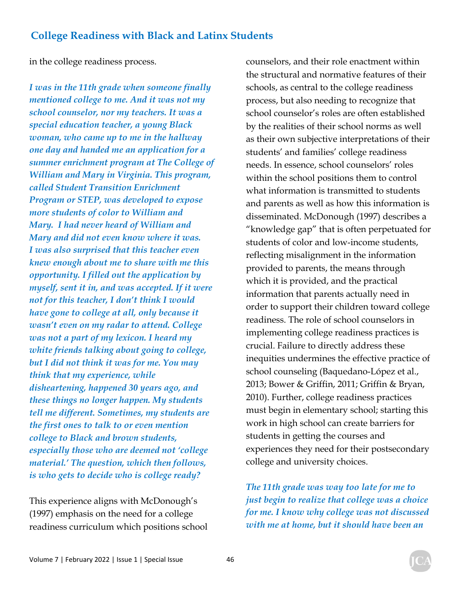in the college readiness process.

*I was in the 11th grade when someone finally mentioned college to me. And it was not my school counselor, nor my teachers. It was a special education teacher, a young Black woman, who came up to me in the hallway one day and handed me an application for a summer enrichment program at The College of William and Mary in Virginia. This program, called Student Transition Enrichment Program or STEP, was developed to expose more students of color to William and Mary. I had never heard of William and Mary and did not even know where it was. I was also surprised that this teacher even knew enough about me to share with me this opportunity. I filled out the application by myself, sent it in, and was accepted. If it were not for this teacher, I don't think I would have gone to college at all, only because it wasn't even on my radar to attend. College was not a part of my lexicon. I heard my white friends talking about going to college, but I did not think it was for me. You may think that my experience, while disheartening, happened 30 years ago, and these things no longer happen. My students tell me different. Sometimes, my students are the first ones to talk to or even mention college to Black and brown students, especially those who are deemed not 'college material.' The question, which then follows, is who gets to decide who is college ready?* 

This experience aligns with McDonough's (1997) emphasis on the need for a college readiness curriculum which positions school counselors, and their role enactment within the structural and normative features of their schools, as central to the college readiness process, but also needing to recognize that school counselor's roles are often established by the realities of their school norms as well as their own subjective interpretations of their students' and families' college readiness needs. In essence, school counselors' roles within the school positions them to control what information is transmitted to students and parents as well as how this information is disseminated. McDonough (1997) describes a "knowledge gap" that is often perpetuated for students of color and low-income students, reflecting misalignment in the information provided to parents, the means through which it is provided, and the practical information that parents actually need in order to support their children toward college readiness. The role of school counselors in implementing college readiness practices is crucial. Failure to directly address these inequities undermines the effective practice of school counseling (Baquedano-López et al., 2013; Bower & Griffin, 2011; Griffin & Bryan, 2010). Further, college readiness practices must begin in elementary school; starting this work in high school can create barriers for students in getting the courses and experiences they need for their postsecondary college and university choices.

*The 11th grade was way too late for me to just begin to realize that college was a choice for me. I know why college was not discussed with me at home, but it should have been an*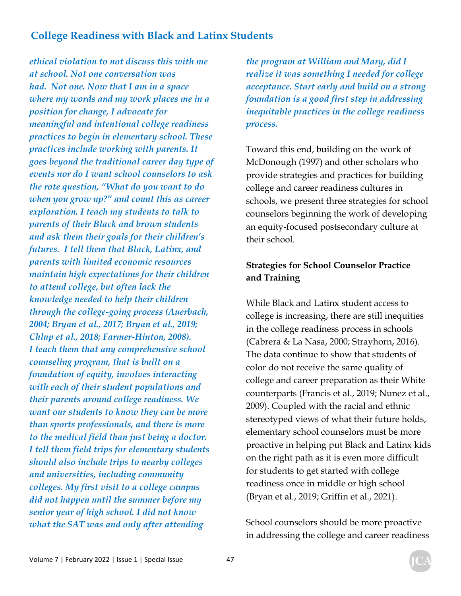*ethical violation to not discuss this with me at school. Not one conversation was had. Not one. Now that I am in a space where my words and my work places me in a position for change, I advocate for meaningful and intentional college readiness practices to begin in elementary school. These practices include working with parents. It goes beyond the traditional career day type of events nor do I want school counselors to ask the rote question, "What do you want to do when you grow up?" and count this as career exploration. I teach my students to talk to parents of their Black and brown students and ask them their goals for their children's futures. I tell them that Black, Latinx, and parents with limited economic resources maintain high expectations for their children to attend college, but often lack the knowledge needed to help their children through the college-going process (Auerbach, 2004; Bryan et al., 2017; Bryan et al., 2019; Chlup et al., 2018; Farmer-Hinton, 2008). I teach them that any comprehensive school counseling program, that is built on a foundation of equity, involves interacting with each of their student populations and their parents around college readiness. We want our students to know they can be more than sports professionals, and there is more to the medical field than just being a doctor. I tell them field trips for elementary students should also include trips to nearby colleges and universities, including community colleges. My first visit to a college campus did not happen until the summer before my senior year of high school. I did not know what the SAT was and only after attending* 

*the program at William and Mary, did I realize it was something I needed for college acceptance. Start early and build on a strong foundation is a good first step in addressing inequitable practices in the college readiness process.* 

Toward this end, building on the work of McDonough (1997) and other scholars who provide strategies and practices for building college and career readiness cultures in schools, we present three strategies for school counselors beginning the work of developing an equity-focused postsecondary culture at their school.

### **Strategies for School Counselor Practice and Training**

While Black and Latinx student access to college is increasing, there are still inequities in the college readiness process in schools (Cabrera & La Nasa, 2000; Strayhorn, 2016). The data continue to show that students of color do not receive the same quality of college and career preparation as their White counterparts (Francis et al., 2019; Nunez et al., 2009). Coupled with the racial and ethnic stereotyped views of what their future holds, elementary school counselors must be more proactive in helping put Black and Latinx kids on the right path as it is even more difficult for students to get started with college readiness once in middle or high school (Bryan et al., 2019; Griffin et al., 2021).

School counselors should be more proactive in addressing the college and career readiness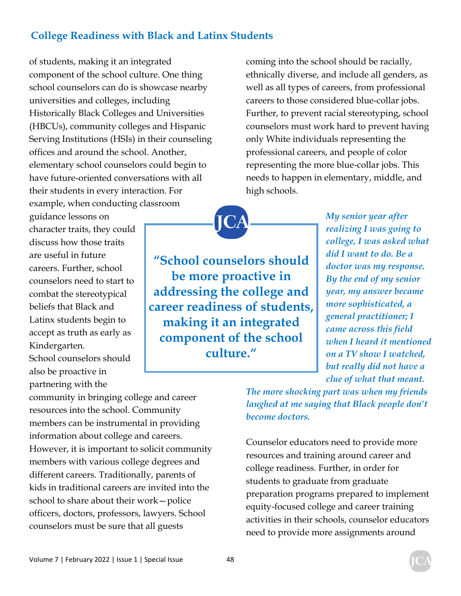of students, making it an integrated component of the school culture. One thing school counselors can do is showcase nearby universities and colleges, including Historically Black Colleges and Universities (HBCUs), community colleges and Hispanic Serving Institutions (HSIs) in their counseling offices and around the school. Another, elementary school counselors could begin to have future-oriented conversations with all their students in every interaction. For example, when conducting classroom

guidance lessons on character traits, they could discuss how those traits are useful in future careers. Further, school counselors need to start to combat the stereotypical beliefs that Black and Latinx students begin to accept as truth as early as Kindergarten. School counselors should also be proactive in partnering with the

community in bringing college and career resources into the school. Community members can be instrumental in providing information about college and careers. However, it is important to solicit community members with various college degrees and different careers. Traditionally, parents of kids in traditional careers are invited into the school to share about their work—police officers, doctors, professors, lawyers. School counselors must be sure that all guests

coming into the school should be racially, ethnically diverse, and include all genders, as well as all types of careers, from professional careers to those considered blue-collar jobs. Further, to prevent racial stereotyping, school counselors must work hard to prevent having only White individuals representing the professional careers, and people of color representing the more blue-collar jobs. This needs to happen in elementary, middle, and high schools.

**"School counselors should be more proactive in addressing the college and career readiness of students, making it an integrated component of the school culture."** 

*My senior year after realizing I was going to college, I was asked what did I want to do. Be a doctor was my response. By the end of my senior year, my answer became more sophisticated, a general practitioner; I came across this field when I heard it mentioned on a TV show I watched, but really did not have a clue of what that meant.* 

*The more shocking part was when my friends laughed at me saying that Black people don't become doctors.* 

Counselor educators need to provide more resources and training around career and college readiness. Further, in order for students to graduate from graduate preparation programs prepared to implement equity-focused college and career training activities in their schools, counselor educators need to provide more assignments around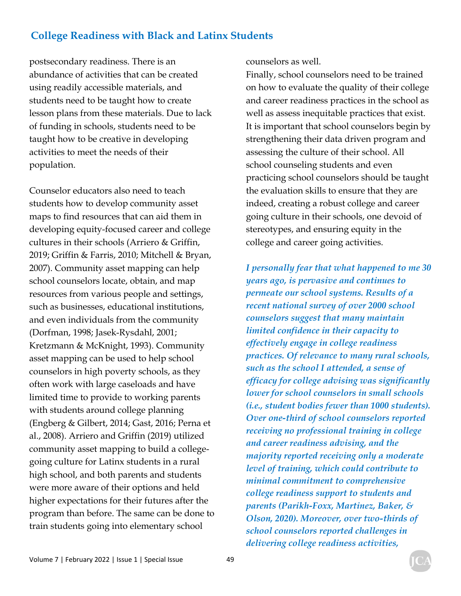postsecondary readiness. There is an abundance of activities that can be created using readily accessible materials, and students need to be taught how to create lesson plans from these materials. Due to lack of funding in schools, students need to be taught how to be creative in developing activities to meet the needs of their population.

Counselor educators also need to teach students how to develop community asset maps to find resources that can aid them in developing equity-focused career and college cultures in their schools (Arriero & Griffin, 2019; Griffin & Farris, 2010; Mitchell & Bryan, 2007). Community asset mapping can help school counselors locate, obtain, and map resources from various people and settings, such as businesses, educational institutions, and even individuals from the community (Dorfman, 1998; Jasek-Rysdahl, 2001; Kretzmann & McKnight, 1993). Community asset mapping can be used to help school counselors in high poverty schools, as they often work with large caseloads and have limited time to provide to working parents with students around college planning (Engberg & Gilbert, 2014; Gast, 2016; Perna et al., 2008). Arriero and Griffin (2019) utilized community asset mapping to build a collegegoing culture for Latinx students in a rural high school, and both parents and students were more aware of their options and held higher expectations for their futures after the program than before. The same can be done to train students going into elementary school

counselors as well.

Finally, school counselors need to be trained on how to evaluate the quality of their college and career readiness practices in the school as well as assess inequitable practices that exist. It is important that school counselors begin by strengthening their data driven program and assessing the culture of their school. All school counseling students and even practicing school counselors should be taught the evaluation skills to ensure that they are indeed, creating a robust college and career going culture in their schools, one devoid of stereotypes, and ensuring equity in the college and career going activities.

*I personally fear that what happened to me 30 years ago, is pervasive and continues to permeate our school systems. Results of a recent national survey of over 2000 school counselors suggest that many maintain limited confidence in their capacity to effectively engage in college readiness practices. Of relevance to many rural schools, such as the school I attended, a sense of efficacy for college advising was significantly lower for school counselors in small schools (i.e., student bodies fewer than 1000 students). Over one-third of school counselors reported receiving no professional training in college and career readiness advising, and the majority reported receiving only a moderate level of training, which could contribute to minimal commitment to comprehensive college readiness support to students and parents (Parikh-Foxx, Martinez, Baker, & Olson, 2020). Moreover, over two-thirds of school counselors reported challenges in delivering college readiness activities,*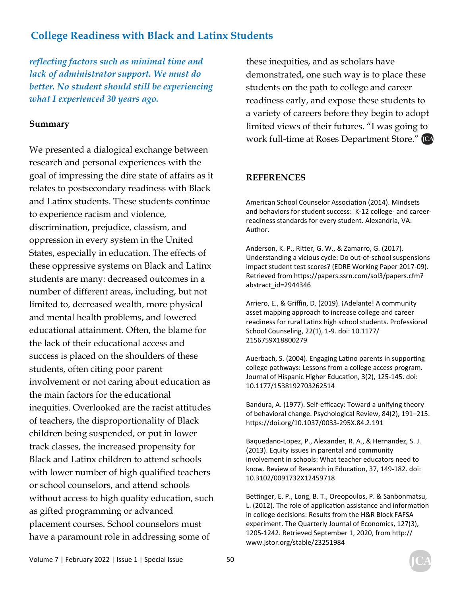*reflecting factors such as minimal time and lack of administrator support. We must do better. No student should still be experiencing what I experienced 30 years ago.* 

#### **Summary**

We presented a dialogical exchange between research and personal experiences with the goal of impressing the dire state of affairs as it relates to postsecondary readiness with Black and Latinx students. These students continue to experience racism and violence, discrimination, prejudice, classism, and oppression in every system in the United States, especially in education. The effects of these oppressive systems on Black and Latinx students are many: decreased outcomes in a number of different areas, including, but not limited to, decreased wealth, more physical and mental health problems, and lowered educational attainment. Often, the blame for the lack of their educational access and success is placed on the shoulders of these students, often citing poor parent involvement or not caring about education as the main factors for the educational inequities. Overlooked are the racist attitudes of teachers, the disproportionality of Black children being suspended, or put in lower track classes, the increased propensity for Black and Latinx children to attend schools with lower number of high qualified teachers or school counselors, and attend schools without access to high quality education, such as gifted programming or advanced placement courses. School counselors must have a paramount role in addressing some of

these inequities, and as scholars have demonstrated, one such way is to place these students on the path to college and career readiness early, and expose these students to a variety of careers before they begin to adopt limited views of their futures. "I was going to work full-time at Roses Department Store." [CA

#### **REFERENCES**

American School Counselor Association (2014). Mindsets and behaviors for student success: K-12 college- and careerreadiness standards for every student. Alexandria, VA: Author.

Anderson, K. P., Ritter, G. W., & Zamarro, G. (2017). Understanding a vicious cycle: Do out-of-school suspensions impact student test scores? (EDRE Working Paper 2017-09). Retrieved from https://papers.ssrn.com/sol3/papers.cfm? abstract\_id=2944346

Arriero, E., & Griffin, D. (2019). ¡Adelante! A community asset mapping approach to increase college and career readiness for rural Latinx high school students. Professional School Counseling, 22(1), 1-9. doi: 10.1177/ 2156759X18800279

Auerbach, S. (2004). Engaging Latino parents in supporting college pathways: Lessons from a college access program. Journal of Hispanic Higher Education, 3(2), 125-145. doi: 10.1177/1538192703262514

Bandura, A. (1977). Self-efficacy: Toward a unifying theory of behavioral change. Psychological Review, 84(2), 191–215. https://doi.org/10.1037/0033-295X.84.2.191

Baquedano-Lopez, P., Alexander, R. A., & Hernandez, S. J. (2013). Equity issues in parental and community involvement in schools: What teacher educators need to know. Review of Research in Education, 37, 149-182. doi: 10.3102/0091732X12459718

Bettinger, E. P., Long, B. T., Oreopoulos, P. & Sanbonmatsu, L. (2012). The role of application assistance and information in college decisions: Results from the H&R Block FAFSA experiment. The Quarterly Journal of Economics, 127(3), 1205-1242. Retrieved September 1, 2020, from http:// www.jstor.org/stable/23251984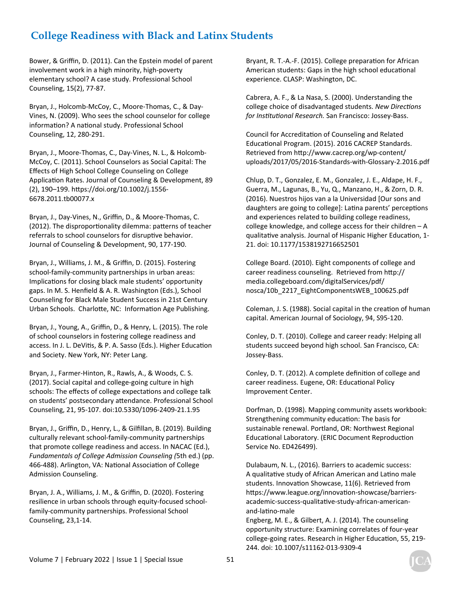Bower, & Griffin, D. (2011). Can the Epstein model of parent involvement work in a high minority, high-poverty elementary school? A case study. Professional School Counseling, 15(2), 77-87.

Bryan, J., Holcomb-McCoy, C., Moore-Thomas, C., & Day-Vines, N. (2009). Who sees the school counselor for college information? A national study. Professional School Counseling, 12, 280-291.

Bryan, J., Moore-Thomas, C., Day-Vines, N. L., & Holcomb-McCoy, C. (2011). School Counselors as Social Capital: The Effects of High School College Counseling on College Application Rates. Journal of Counseling & Development, 89 (2), 190–199. hƩps://doi.org/10.1002/j.1556- 6678.2011.tb00077.x

Bryan, J., Day-Vines, N., Griffin, D., & Moore-Thomas, C. (2012). The disproportionality dilemma: patterns of teacher referrals to school counselors for disruptive behavior. Journal of Counseling & Development, 90, 177-190.

Bryan, J., Williams, J. M., & Griffin, D. (2015). Fostering school-family-community partnerships in urban areas: Implications for closing black male students' opportunity gaps. In M. S. Henfield & A. R. Washington (Eds.), School Counseling for Black Male Student Success in 21st Century Urban Schools. Charlotte, NC: Information Age Publishing.

Bryan, J., Young, A., Griffin, D., & Henry, L. (2015). The role of school counselors in fostering college readiness and access. In J. L. DeVitis, & P. A. Sasso (Eds.). Higher Education and Society. New York, NY: Peter Lang.

Bryan, J., Farmer-Hinton, R., Rawls, A., & Woods, C. S. (2017). Social capital and college-going culture in high schools: The effects of college expectations and college talk on students' postsecondary attendance. Professional School Counseling, 21, 95-107. doi:10.5330/1096-2409-21.1.95

Bryan, J., Griffin, D., Henry, L., & Gilfillan, B. (2019). Building culturally relevant school-family-community partnerships that promote college readiness and access. In NACAC (Ed.), *Fundamentals of College Admission Counseling (*5th ed.) (pp. 466-488). Arlington, VA: National Association of College Admission Counseling.

Bryan, J. A., Williams, J. M., & Griffin, D. (2020). Fostering resilience in urban schools through equity-focused schoolfamily-community partnerships. Professional School Counseling, 23,1-14.

Bryant, R. T.-A.-F. (2015). College preparation for African American students: Gaps in the high school educational experience. CLASP: Washington, DC.

Cabrera, A. F., & La Nasa, S. (2000). Understanding the college choice of disadvantaged students. *New DirecƟons for InsƟtuƟonal Research.* San Francisco: Jossey-Bass.

Council for Accreditation of Counseling and Related Educational Program. (2015). 2016 CACREP Standards. Retrieved from http://www.cacrep.org/wp-content/ uploads/2017/05/2016-Standards-with-Glossary-2.2016.pdf

Chlup, D. T., Gonzalez, E. M., Gonzalez, J. E., Aldape, H. F., Guerra, M., Lagunas, B., Yu, Q., Manzano, H., & Zorn, D. R. (2016). Nuestros hijos van a la Universidad [Our sons and daughters are going to college]: Latina parents' perceptions and experiences related to building college readiness, college knowledge, and college access for their children – A qualitative analysis. Journal of Hispanic Higher Education, 1-21. doi: 10.1177/1538192716652501

College Board. (2010). Eight components of college and career readiness counseling. Retrieved from http:// media.collegeboard.com/digitalServices/pdf/ nosca/10b\_2217\_EightComponentsWEB\_100625.pdf

Coleman, J. S. (1988). Social capital in the creation of human capital. American Journal of Sociology, 94, S95-120.

Conley, D. T. (2010). College and career ready: Helping all students succeed beyond high school. San Francisco, CA: Jossey-Bass.

Conley, D. T. (2012). A complete definition of college and career readiness. Eugene, OR: Educational Policy Improvement Center.

Dorfman, D. (1998). Mapping community assets workbook: Strengthening community education: The basis for sustainable renewal. Portland, OR: Northwest Regional Educational Laboratory. (ERIC Document Reproduction Service No. ED426499).

Dulabaum, N. L., (2016). Barriers to academic success: A qualitative study of African American and Latino male students. Innovation Showcase, 11(6). Retrieved from https://www.league.org/innovation-showcase/barriersacademic-success-qualitaƟve-study-african-americanand-latino-male

Engberg, M. E., & Gilbert, A. J. (2014). The counseling opportunity structure: Examining correlates of four-year college-going rates. Research in Higher Education, 55, 219-244. doi: 10.1007/s11162-013-9309-4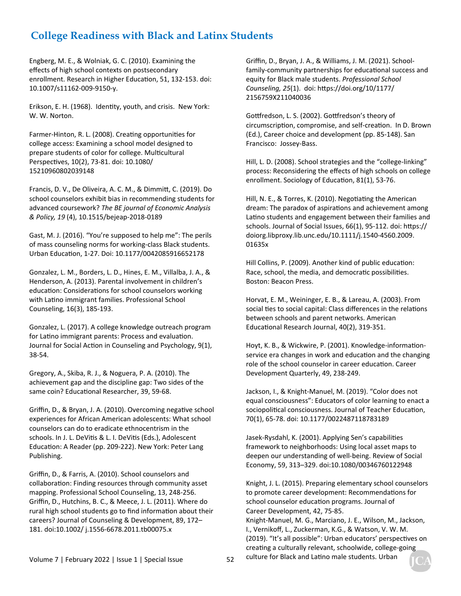Engberg, M. E., & Wolniak, G. C. (2010). Examining the effects of high school contexts on postsecondary enrollment. Research in Higher Education, 51, 132-153. doi: 10.1007/s11162-009-9150-y.

Erikson, E. H. (1968). IdenƟty, youth, and crisis. New York: W. W. Norton.

Farmer-Hinton, R. L. (2008). Creating opportunities for college access: Examining a school model designed to prepare students of color for college. Multicultural Perspectives, 10(2), 73-81. doi: 10.1080/ 15210960802039148

Francis, D. V., De Oliveira, A. C. M., & DimmiƩ, C. (2019). Do school counselors exhibit bias in recommending students for advanced coursework? *The BE journal of Economic Analysis & Policy, 19* (4), 10.1515/bejeap-2018-0189

Gast, M. J. (2016). "You're supposed to help me": The perils of mass counseling norms for working-class Black students. Urban EducaƟon, 1-27. Doi: 10.1177/0042085916652178

Gonzalez, L. M., Borders, L. D., Hines, E. M., Villalba, J. A., & Henderson, A. (2013). Parental involvement in children's education: Considerations for school counselors working with Latino immigrant families. Professional School Counseling, 16(3), 185-193.

Gonzalez, L. (2017). A college knowledge outreach program for Latino immigrant parents: Process and evaluation. Journal for Social Action in Counseling and Psychology, 9(1), 38-54.

Gregory, A., Skiba, R. J., & Noguera, P. A. (2010). The achievement gap and the discipline gap: Two sides of the same coin? Educational Researcher, 39, 59-68.

Griffin, D., & Bryan, J. A. (2010). Overcoming negative school experiences for African American adolescents: What school counselors can do to eradicate ethnocentrism in the schools. In J. L. DeVitis & L. I. DeVitis (Eds.), Adolescent Education: A Reader (pp. 209-222). New York: Peter Lang Publishing.

Griffin, D., & Farris, A. (2010). School counselors and collaboration: Finding resources through community asset mapping. Professional School Counseling, 13, 248-256. Griffin, D., Hutchins, B. C., & Meece, J. L. (2011). Where do rural high school students go to find information about their careers? Journal of Counseling & Development, 89, 172– 181. doi:10.1002/ j.1556-6678.2011.tb00075.x

Griffin, D., Bryan, J. A., & Williams, J. M. (2021). Schoolfamily-community partnerships for educational success and equity for Black male students. *Professional School Counseling, 25*(1). doi: hƩps://doi.org/10/1177/ 2156759X211040036

Gottfredson, L. S. (2002). Gottfredson's theory of circumscription, compromise, and self-creation. In D. Brown (Ed.), Career choice and development (pp. 85-148). San Francisco: Jossey-Bass.

Hill, L. D. (2008). School strategies and the "college-linking" process: Reconsidering the effects of high schools on college enrollment. Sociology of Education, 81(1), 53-76.

Hill, N. E., & Torres, K. (2010). Negotiating the American dream: The paradox of aspirations and achievement among Latino students and engagement between their families and schools. Journal of Social Issues, 66(1), 95-112. doi: https:// doiorg.libproxy.lib.unc.edu/10.1111/j.1540-4560.2009. 01635x

Hill Collins, P. (2009). Another kind of public education: Race, school, the media, and democratic possibilities. Boston: Beacon Press.

Horvat, E. M., Weininger, E. B., & Lareau, A. (2003). From social ties to social capital: Class differences in the relations between schools and parent networks. American Educational Research Journal, 40(2), 319-351.

Hoyt, K. B., & Wickwire, P. (2001). Knowledge-informationservice era changes in work and education and the changing role of the school counselor in career education. Career Development Quarterly, 49, 238-249.

Jackson, I., & Knight-Manuel, M. (2019). "Color does not equal consciousness": Educators of color learning to enact a sociopolitical consciousness. Journal of Teacher Education, 70(1), 65-78. doi: 10.1177/0022487118783189

Jasek-Rysdahl, K. (2001). Applying Sen's capabilities framework to neighborhoods: Using local asset maps to deepen our understanding of well-being. Review of Social Economy, 59, 313–329. doi:10.1080/00346760122948

Knight, J. L. (2015). Preparing elementary school counselors to promote career development: Recommendations for school counselor education programs. Journal of Career Development, 42, 75-85.

Knight-Manuel, M. G., Marciano, J. E., Wilson, M., Jackson, I., Vernikoff, L., Zuckerman, K.G., & Watson, V. W. M. (2019). "It's all possible": Urban educators' perspectives on creating a culturally relevant, schoolwide, college-going culture for Black and Latino male students. Urban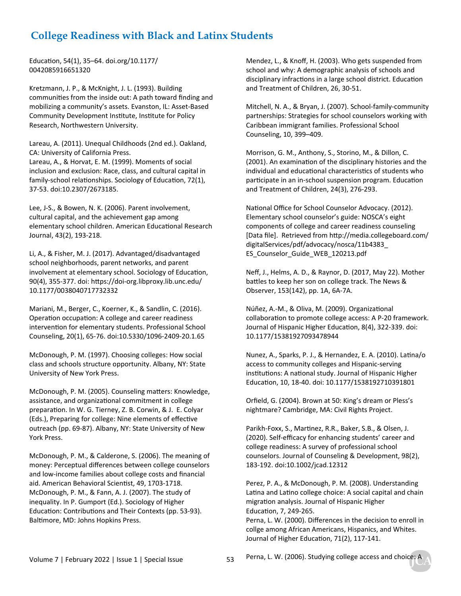EducaƟon, 54(1), 35–64. doi.org/10.1177/ 0042085916651320

Kretzmann, J. P., & McKnight, J. L. (1993). Building communities from the inside out: A path toward finding and mobilizing a community's assets. Evanston, IL: Asset-Based Community Development Institute, Institute for Policy Research, Northwestern University.

Lareau, A. (2011). Unequal Childhoods (2nd ed.). Oakland, CA: University of California Press.

Lareau, A., & Horvat, E. M. (1999). Moments of social inclusion and exclusion: Race, class, and cultural capital in family-school relationships. Sociology of Education, 72(1), 37-53. doi:10.2307/2673185.

Lee, J-S., & Bowen, N. K. (2006). Parent involvement, cultural capital, and the achievement gap among elementary school children. American Educational Research Journal, 43(2), 193-218.

Li, A., & Fisher, M. J. (2017). Advantaged/disadvantaged school neighborhoods, parent networks, and parent involvement at elementary school. Sociology of Education, 90(4), 355-377. doi: hƩps://doi-org.libproxy.lib.unc.edu/ 10.1177/0038040717732332

Mariani, M., Berger, C., Koerner, K., & Sandlin, C. (2016). Operation occupation: A college and career readiness intervention for elementary students. Professional School Counseling, 20(1), 65-76. doi:10.5330/1096-2409-20.1.65

McDonough, P. M. (1997). Choosing colleges: How social class and schools structure opportunity. Albany, NY: State University of New York Press.

McDonough, P. M. (2005). Counseling matters: Knowledge, assistance, and organizational commitment in college preparation. In W. G. Tierney, Z. B. Corwin, & J. E. Colyar (Eds.), Preparing for college: Nine elements of effective outreach (pp. 69-87). Albany, NY: State University of New York Press.

McDonough, P. M., & Calderone, S. (2006). The meaning of money: Perceptual differences between college counselors and low-income families about college costs and financial aid. American Behavioral Scientist, 49, 1703-1718. McDonough, P. M., & Fann, A. J. (2007). The study of inequality. In P. Gumport (Ed.). Sociology of Higher Education: Contributions and Their Contexts (pp. 53-93). Baltimore, MD: Johns Hopkins Press.

Mendez, L., & Knoff, H. (2003). Who gets suspended from school and why: A demographic analysis of schools and disciplinary infractions in a large school district. Education and Treatment of Children, 26, 30-51.

Mitchell, N. A., & Bryan, J. (2007). School-family-community partnerships: Strategies for school counselors working with Caribbean immigrant families. Professional School Counseling, 10, 399–409.

Morrison, G. M., Anthony, S., Storino, M., & Dillon, C. (2001). An examination of the disciplinary histories and the individual and educational characteristics of students who participate in an in-school suspension program. Education and Treatment of Children, 24(3), 276-293.

National Office for School Counselor Advocacy. (2012). Elementary school counselor's guide: NOSCA's eight components of college and career readiness counseling [Data file]. Retrieved from http://media.collegeboard.com/ digitalServices/pdf/advocacy/nosca/11b4383\_ ES\_Counselor\_Guide\_WEB\_120213.pdf

Neff, J., Helms, A. D., & Raynor, D. (2017, May 22). Mother battles to keep her son on college track. The News & Observer, 153(142), pp. 1A, 6A-7A.

Núñez, A.-M., & Oliva, M. (2009). Organizational collaboration to promote college access: A P-20 framework. Journal of Hispanic Higher Education, 8(4), 322-339. doi: 10.1177/15381927093478944

Nunez, A., Sparks, P. J., & Hernandez, E. A. (2010). Latina/o access to community colleges and Hispanic-serving institutions: A national study. Journal of Hispanic Higher EducaƟon, 10, 18-40. doi: 10.1177/1538192710391801

Orfield, G. (2004). Brown at 50: King's dream or Pless's nightmare? Cambridge, MA: Civil Rights Project.

Parikh-Foxx, S., Martinez, R.R., Baker, S.B., & Olsen, J. (2020). Self-efficacy for enhancing students' career and college readiness: A survey of professional school counselors. Journal of Counseling & Development, 98(2), 183-192. doi:10.1002/jcad.12312

Perez, P. A., & McDonough, P. M. (2008). Understanding Latina and Latino college choice: A social capital and chain migration analysis. Journal of Hispanic Higher Education, 7, 249-265.

Perna, L. W. (2000). Differences in the decision to enroll in collge among African Americans, Hispanics, and Whites. Journal of Higher Education, 71(2), 117-141.